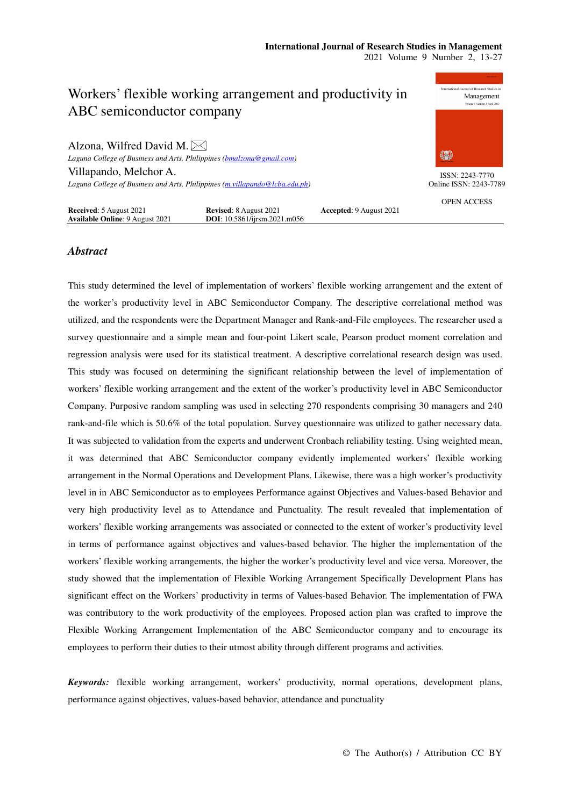

#### **Received**: 5 August 2021 **Revised**: 8 August 2021 **Accepted**: 9 August 2021 **Available Online**: 9 August 2021 **DOI**: 10.5861/ijrsm.2021.m056

# *Abstract*

This study determined the level of implementation of workers' flexible working arrangement and the extent of the worker's productivity level in ABC Semiconductor Company. The descriptive correlational method was utilized, and the respondents were the Department Manager and Rank-and-File employees. The researcher used a survey questionnaire and a simple mean and four-point Likert scale, Pearson product moment correlation and regression analysis were used for its statistical treatment. A descriptive correlational research design was used. This study was focused on determining the significant relationship between the level of implementation of workers' flexible working arrangement and the extent of the worker's productivity level in ABC Semiconductor Company. Purposive random sampling was used in selecting 270 respondents comprising 30 managers and 240 rank-and-file which is 50.6% of the total population. Survey questionnaire was utilized to gather necessary data. It was subjected to validation from the experts and underwent Cronbach reliability testing. Using weighted mean, it was determined that ABC Semiconductor company evidently implemented workers' flexible working arrangement in the Normal Operations and Development Plans. Likewise, there was a high worker's productivity level in in ABC Semiconductor as to employees Performance against Objectives and Values-based Behavior and very high productivity level as to Attendance and Punctuality. The result revealed that implementation of workers' flexible working arrangements was associated or connected to the extent of worker's productivity level in terms of performance against objectives and values-based behavior. The higher the implementation of the workers' flexible working arrangements, the higher the worker's productivity level and vice versa. Moreover, the study showed that the implementation of Flexible Working Arrangement Specifically Development Plans has significant effect on the Workers' productivity in terms of Values-based Behavior. The implementation of FWA was contributory to the work productivity of the employees. Proposed action plan was crafted to improve the Flexible Working Arrangement Implementation of the ABC Semiconductor company and to encourage its employees to perform their duties to their utmost ability through different programs and activities.

*Keywords:* flexible working arrangement, workers' productivity, normal operations, development plans, performance against objectives, values-based behavior, attendance and punctuality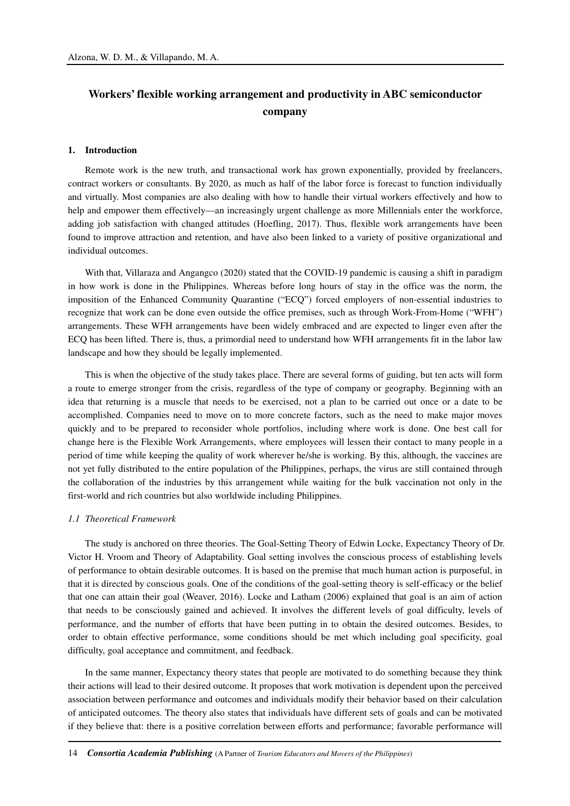# **Workers' flexible working arrangement and productivity in ABC semiconductor company**

#### **1. Introduction**

Remote work is the new truth, and transactional work has grown exponentially, provided by freelancers, contract workers or consultants. By 2020, as much as half of the labor force is forecast to function individually and virtually. Most companies are also dealing with how to handle their virtual workers effectively and how to help and empower them effectively—an increasingly urgent challenge as more Millennials enter the workforce, adding job satisfaction with changed attitudes (Hoefling, 2017). Thus, flexible work arrangements have been found to improve attraction and retention, and have also been linked to a variety of positive organizational and individual outcomes.

With that, Villaraza and Angangco (2020) stated that the COVID-19 pandemic is causing a shift in paradigm in how work is done in the Philippines. Whereas before long hours of stay in the office was the norm, the imposition of the Enhanced Community Quarantine ("ECQ") forced employers of non-essential industries to recognize that work can be done even outside the office premises, such as through Work-From-Home ("WFH") arrangements. These WFH arrangements have been widely embraced and are expected to linger even after the ECQ has been lifted. There is, thus, a primordial need to understand how WFH arrangements fit in the labor law landscape and how they should be legally implemented.

This is when the objective of the study takes place. There are several forms of guiding, but ten acts will form a route to emerge stronger from the crisis, regardless of the type of company or geography. Beginning with an idea that returning is a muscle that needs to be exercised, not a plan to be carried out once or a date to be accomplished. Companies need to move on to more concrete factors, such as the need to make major moves quickly and to be prepared to reconsider whole portfolios, including where work is done. One best call for change here is the Flexible Work Arrangements, where employees will lessen their contact to many people in a period of time while keeping the quality of work wherever he/she is working. By this, although, the vaccines are not yet fully distributed to the entire population of the Philippines, perhaps, the virus are still contained through the collaboration of the industries by this arrangement while waiting for the bulk vaccination not only in the first-world and rich countries but also worldwide including Philippines.

#### *1.1 Theoretical Framework*

The study is anchored on three theories. The Goal-Setting Theory of Edwin Locke, Expectancy Theory of Dr. Victor H. Vroom and Theory of Adaptability. Goal setting involves the conscious process of establishing levels of performance to obtain desirable outcomes. It is based on the premise that much human action is purposeful, in that it is directed by conscious goals. One of the conditions of the goal-setting theory is self-efficacy or the belief that one can attain their goal (Weaver, 2016). Locke and Latham (2006) explained that goal is an aim of action that needs to be consciously gained and achieved. It involves the different levels of goal difficulty, levels of performance, and the number of efforts that have been putting in to obtain the desired outcomes. Besides, to order to obtain effective performance, some conditions should be met which including goal specificity, goal difficulty, goal acceptance and commitment, and feedback.

In the same manner, Expectancy theory states that people are motivated to do something because they think their actions will lead to their desired outcome. It proposes that work motivation is dependent upon the perceived association between performance and outcomes and individuals modify their behavior based on their calculation of anticipated outcomes. The theory also states that individuals have different sets of goals and can be motivated if they believe that: there is a positive correlation between efforts and performance; favorable performance will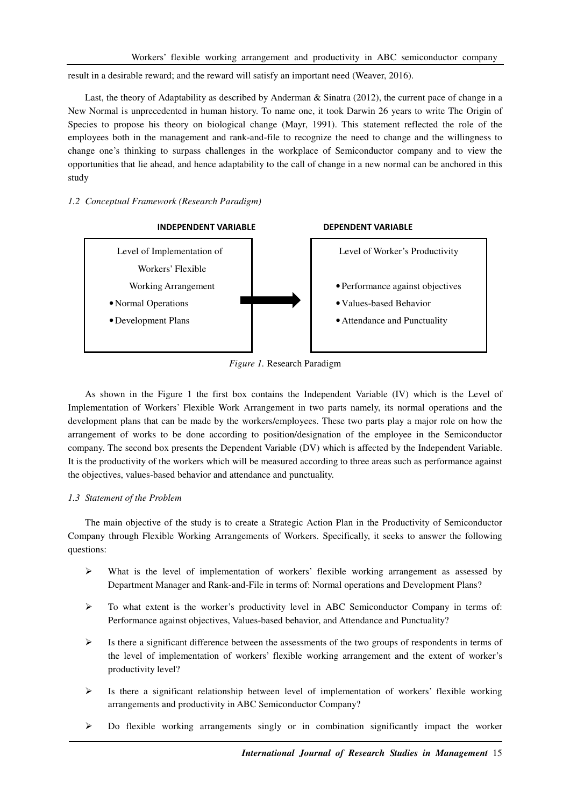result in a desirable reward; and the reward will satisfy an important need (Weaver, 2016).

Last, the theory of Adaptability as described by Anderman & Sinatra (2012), the current pace of change in a New Normal is unprecedented in human history. To name one, it took Darwin 26 years to write The Origin of Species to propose his theory on biological change (Mayr, 1991). This statement reflected the role of the employees both in the management and rank-and-file to recognize the need to change and the willingness to change one's thinking to surpass challenges in the workplace of Semiconductor company and to view the opportunities that lie ahead, and hence adaptability to the call of change in a new normal can be anchored in this study

## *1.2 Conceptual Framework (Research Paradigm)*



*Figure 1.* Research Paradigm

As shown in the Figure 1 the first box contains the Independent Variable (IV) which is the Level of Implementation of Workers' Flexible Work Arrangement in two parts namely, its normal operations and the development plans that can be made by the workers/employees. These two parts play a major role on how the arrangement of works to be done according to position/designation of the employee in the Semiconductor company. The second box presents the Dependent Variable (DV) which is affected by the Independent Variable. It is the productivity of the workers which will be measured according to three areas such as performance against the objectives, values-based behavior and attendance and punctuality.

# *1.3 Statement of the Problem*

The main objective of the study is to create a Strategic Action Plan in the Productivity of Semiconductor Company through Flexible Working Arrangements of Workers. Specifically, it seeks to answer the following questions:

- $\triangleright$  What is the level of implementation of workers' flexible working arrangement as assessed by Department Manager and Rank-and-File in terms of: Normal operations and Development Plans?
- $\triangleright$  To what extent is the worker's productivity level in ABC Semiconductor Company in terms of: Performance against objectives, Values-based behavior, and Attendance and Punctuality?
- $\triangleright$  Is there a significant difference between the assessments of the two groups of respondents in terms of the level of implementation of workers' flexible working arrangement and the extent of worker's productivity level?
- $\triangleright$  Is there a significant relationship between level of implementation of workers' flexible working arrangements and productivity in ABC Semiconductor Company?
- Do flexible working arrangements singly or in combination significantly impact the worker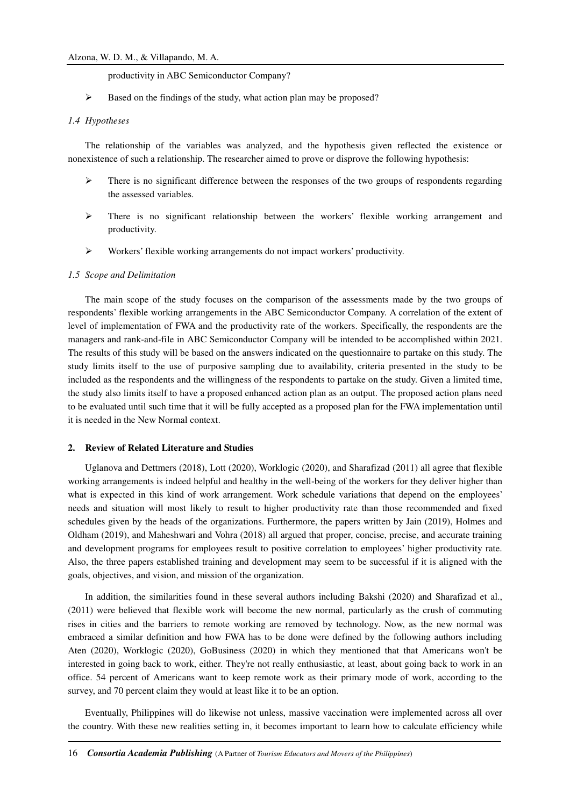productivity in ABC Semiconductor Company?

Based on the findings of the study, what action plan may be proposed?

#### *1.4 Hypotheses*

The relationship of the variables was analyzed, and the hypothesis given reflected the existence or nonexistence of such a relationship. The researcher aimed to prove or disprove the following hypothesis:

- $\triangleright$  There is no significant difference between the responses of the two groups of respondents regarding the assessed variables.
- There is no significant relationship between the workers' flexible working arrangement and productivity.
- Workers' flexible working arrangements do not impact workers' productivity.

#### *1.5 Scope and Delimitation*

The main scope of the study focuses on the comparison of the assessments made by the two groups of respondents' flexible working arrangements in the ABC Semiconductor Company. A correlation of the extent of level of implementation of FWA and the productivity rate of the workers. Specifically, the respondents are the managers and rank-and-file in ABC Semiconductor Company will be intended to be accomplished within 2021. The results of this study will be based on the answers indicated on the questionnaire to partake on this study. The study limits itself to the use of purposive sampling due to availability, criteria presented in the study to be included as the respondents and the willingness of the respondents to partake on the study. Given a limited time, the study also limits itself to have a proposed enhanced action plan as an output. The proposed action plans need to be evaluated until such time that it will be fully accepted as a proposed plan for the FWA implementation until it is needed in the New Normal context.

#### **2. Review of Related Literature and Studies**

Uglanova and Dettmers (2018), Lott (2020), Worklogic (2020), and Sharafizad (2011) all agree that flexible working arrangements is indeed helpful and healthy in the well-being of the workers for they deliver higher than what is expected in this kind of work arrangement. Work schedule variations that depend on the employees' needs and situation will most likely to result to higher productivity rate than those recommended and fixed schedules given by the heads of the organizations. Furthermore, the papers written by Jain (2019), Holmes and Oldham (2019), and Maheshwari and Vohra (2018) all argued that proper, concise, precise, and accurate training and development programs for employees result to positive correlation to employees' higher productivity rate. Also, the three papers established training and development may seem to be successful if it is aligned with the goals, objectives, and vision, and mission of the organization.

In addition, the similarities found in these several authors including Bakshi (2020) and Sharafizad et al., (2011) were believed that flexible work will become the new normal, particularly as the crush of commuting rises in cities and the barriers to remote working are removed by technology. Now, as the new normal was embraced a similar definition and how FWA has to be done were defined by the following authors including Aten (2020), Worklogic (2020), GoBusiness (2020) in which they mentioned that that Americans won't be interested in going back to work, either. They're not really enthusiastic, at least, about going back to work in an office. 54 percent of Americans want to keep remote work as their primary mode of work, according to the survey, and 70 percent claim they would at least like it to be an option.

Eventually, Philippines will do likewise not unless, massive vaccination were implemented across all over the country. With these new realities setting in, it becomes important to learn how to calculate efficiency while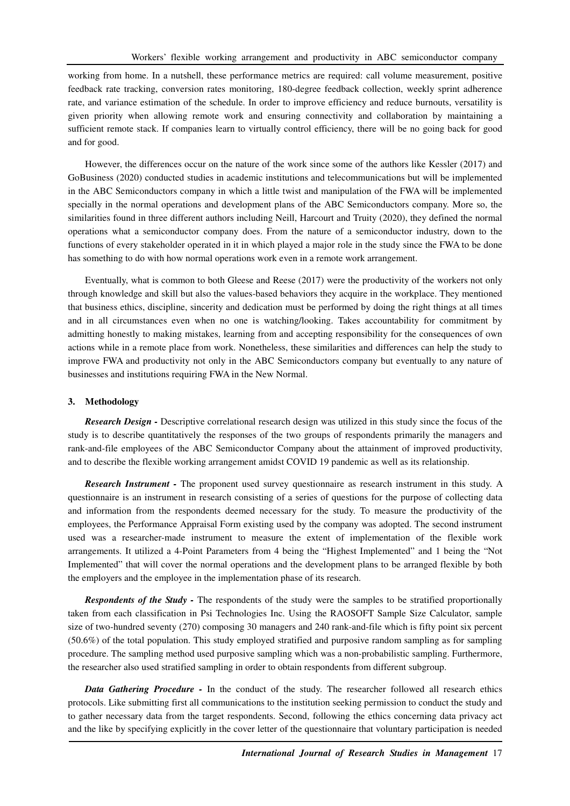working from home. In a nutshell, these performance metrics are required: call volume measurement, positive feedback rate tracking, conversion rates monitoring, 180-degree feedback collection, weekly sprint adherence rate, and variance estimation of the schedule. In order to improve efficiency and reduce burnouts, versatility is given priority when allowing remote work and ensuring connectivity and collaboration by maintaining a sufficient remote stack. If companies learn to virtually control efficiency, there will be no going back for good and for good.

However, the differences occur on the nature of the work since some of the authors like Kessler (2017) and GoBusiness (2020) conducted studies in academic institutions and telecommunications but will be implemented in the ABC Semiconductors company in which a little twist and manipulation of the FWA will be implemented specially in the normal operations and development plans of the ABC Semiconductors company. More so, the similarities found in three different authors including Neill, Harcourt and Truity (2020), they defined the normal operations what a semiconductor company does. From the nature of a semiconductor industry, down to the functions of every stakeholder operated in it in which played a major role in the study since the FWA to be done has something to do with how normal operations work even in a remote work arrangement.

Eventually, what is common to both Gleese and Reese (2017) were the productivity of the workers not only through knowledge and skill but also the values-based behaviors they acquire in the workplace. They mentioned that business ethics, discipline, sincerity and dedication must be performed by doing the right things at all times and in all circumstances even when no one is watching/looking. Takes accountability for commitment by admitting honestly to making mistakes, learning from and accepting responsibility for the consequences of own actions while in a remote place from work. Nonetheless, these similarities and differences can help the study to improve FWA and productivity not only in the ABC Semiconductors company but eventually to any nature of businesses and institutions requiring FWA in the New Normal.

#### **3. Methodology**

*Research Design -* Descriptive correlational research design was utilized in this study since the focus of the study is to describe quantitatively the responses of the two groups of respondents primarily the managers and rank-and-file employees of the ABC Semiconductor Company about the attainment of improved productivity, and to describe the flexible working arrangement amidst COVID 19 pandemic as well as its relationship.

*Research Instrument -* The proponent used survey questionnaire as research instrument in this study. A questionnaire is an instrument in research consisting of a series of questions for the purpose of collecting data and information from the respondents deemed necessary for the study. To measure the productivity of the employees, the Performance Appraisal Form existing used by the company was adopted. The second instrument used was a researcher-made instrument to measure the extent of implementation of the flexible work arrangements. It utilized a 4-Point Parameters from 4 being the "Highest Implemented" and 1 being the "Not Implemented" that will cover the normal operations and the development plans to be arranged flexible by both the employers and the employee in the implementation phase of its research.

*Respondents of the Study -* The respondents of the study were the samples to be stratified proportionally taken from each classification in Psi Technologies Inc. Using the RAOSOFT Sample Size Calculator, sample size of two-hundred seventy (270) composing 30 managers and 240 rank-and-file which is fifty point six percent (50.6%) of the total population. This study employed stratified and purposive random sampling as for sampling procedure. The sampling method used purposive sampling which was a non-probabilistic sampling. Furthermore, the researcher also used stratified sampling in order to obtain respondents from different subgroup.

*Data Gathering Procedure -* In the conduct of the study. The researcher followed all research ethics protocols. Like submitting first all communications to the institution seeking permission to conduct the study and to gather necessary data from the target respondents. Second, following the ethics concerning data privacy act and the like by specifying explicitly in the cover letter of the questionnaire that voluntary participation is needed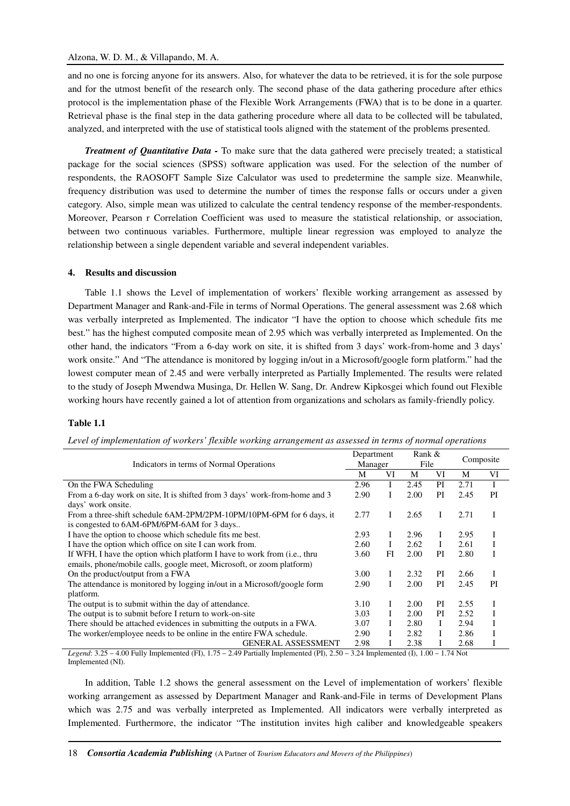## Alzona, W. D. M., & Villapando, M. A.

and no one is forcing anyone for its answers. Also, for whatever the data to be retrieved, it is for the sole purpose and for the utmost benefit of the research only. The second phase of the data gathering procedure after ethics protocol is the implementation phase of the Flexible Work Arrangements (FWA) that is to be done in a quarter. Retrieval phase is the final step in the data gathering procedure where all data to be collected will be tabulated, analyzed, and interpreted with the use of statistical tools aligned with the statement of the problems presented.

*Treatment of Quantitative Data -* To make sure that the data gathered were precisely treated; a statistical package for the social sciences (SPSS) software application was used. For the selection of the number of respondents, the RAOSOFT Sample Size Calculator was used to predetermine the sample size. Meanwhile, frequency distribution was used to determine the number of times the response falls or occurs under a given category. Also, simple mean was utilized to calculate the central tendency response of the member-respondents. Moreover, Pearson r Correlation Coefficient was used to measure the statistical relationship, or association, between two continuous variables. Furthermore, multiple linear regression was employed to analyze the relationship between a single dependent variable and several independent variables.

#### **4. Results and discussion**

Table 1.1 shows the Level of implementation of workers' flexible working arrangement as assessed by Department Manager and Rank-and-File in terms of Normal Operations. The general assessment was 2.68 which was verbally interpreted as Implemented. The indicator "I have the option to choose which schedule fits me best." has the highest computed composite mean of 2.95 which was verbally interpreted as Implemented. On the other hand, the indicators "From a 6-day work on site, it is shifted from 3 days' work-from-home and 3 days' work onsite." And "The attendance is monitored by logging in/out in a Microsoft/google form platform." had the lowest computer mean of 2.45 and were verbally interpreted as Partially Implemented. The results were related to the study of Joseph Mwendwa Musinga, Dr. Hellen W. Sang, Dr. Andrew Kipkosgei which found out Flexible working hours have recently gained a lot of attention from organizations and scholars as family-friendly policy.

#### **Table 1.1**

| Indicators in terms of Normal Operations                                          |      | Department | Rank & |    |           |    |
|-----------------------------------------------------------------------------------|------|------------|--------|----|-----------|----|
|                                                                                   |      | Manager    | File   |    | Composite |    |
|                                                                                   | M    | VI         | М      | VI | M         | VI |
| On the FWA Scheduling                                                             | 2.96 |            | 2.45   | PI | 2.71      | I  |
| From a 6-day work on site, It is shifted from 3 days' work-from-home and 3        | 2.90 |            | 2.00   | PI | 2.45      | PI |
| days' work onsite.                                                                |      |            |        |    |           |    |
| From a three-shift schedule 6AM-2PM/2PM-10PM/10PM-6PM for 6 days, it              | 2.77 | Τ          | 2.65   | Ι  | 2.71      | I  |
| is congested to 6AM-6PM/6PM-6AM for 3 days                                        |      |            |        |    |           |    |
| I have the option to choose which schedule fits me best.                          | 2.93 | L          | 2.96   | Ι  | 2.95      | Ι  |
| I have the option which office on site I can work from.                           | 2.60 | Ι          | 2.62   | L  | 2.61      | Ι  |
| If WFH, I have the option which platform I have to work from ( <i>i.e.</i> , thru | 3.60 | FI         | 2.00   | PI | 2.80      | I  |
| emails, phone/mobile calls, google meet, Microsoft, or zoom platform)             |      |            |        |    |           |    |
| On the product/output from a FWA                                                  | 3.00 |            | 2.32   | PI | 2.66      | Ι  |
| The attendance is monitored by logging in/out in a Microsoft/google form          | 2.90 | Τ          | 2.00   | PI | 2.45      | PI |
| platform.                                                                         |      |            |        |    |           |    |
| The output is to submit within the day of attendance.                             | 3.10 | L          | 2.00   | PI | 2.55      | I  |
| The output is to submit before I return to work-on-site                           | 3.03 | L          | 2.00   | PI | 2.52      | Ι  |
| There should be attached evidences in submitting the outputs in a FWA.            | 3.07 |            | 2.80   | L  | 2.94      | I  |
| The worker/employee needs to be online in the entire FWA schedule.                | 2.90 |            | 2.82   |    | 2.86      | I  |
| <b>GENERAL ASSESSMENT</b>                                                         | 2.98 |            | 2.38   |    | 2.68      | Ι  |

*Level of implementation of workers' flexible working arrangement as assessed in terms of normal operations* 

*Legend*: 3.25 – 4.00 Fully Implemented (FI), 1.75 – 2.49 Partially Implemented (PI), 2.50 – 3.24 Implemented (I), 1.00 – 1.74 Not Implemented (NI).

In addition, Table 1.2 shows the general assessment on the Level of implementation of workers' flexible working arrangement as assessed by Department Manager and Rank-and-File in terms of Development Plans which was 2.75 and was verbally interpreted as Implemented. All indicators were verbally interpreted as Implemented. Furthermore, the indicator "The institution invites high caliber and knowledgeable speakers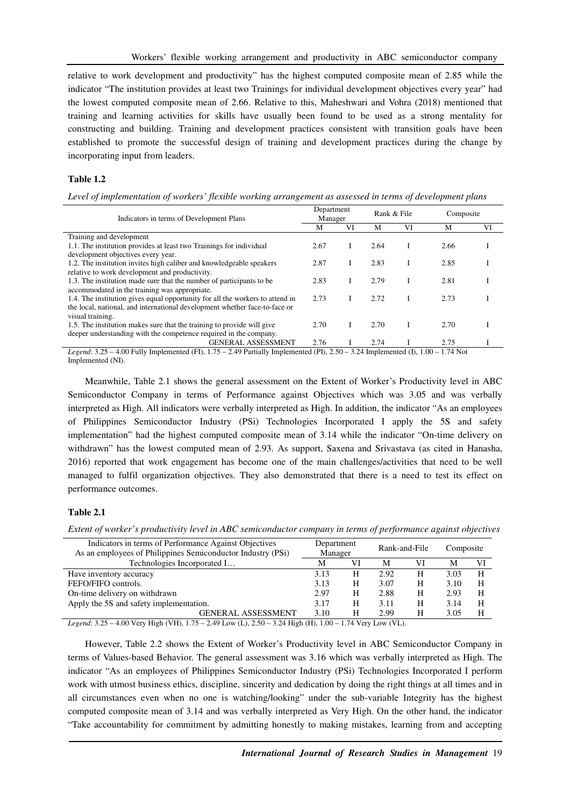relative to work development and productivity" has the highest computed composite mean of 2.85 while the indicator "The institution provides at least two Trainings for individual development objectives every year" had the lowest computed composite mean of 2.66. Relative to this, Maheshwari and Vohra (2018) mentioned that training and learning activities for skills have usually been found to be used as a strong mentality for constructing and building. Training and development practices consistent with transition goals have been established to promote the successful design of training and development practices during the change by incorporating input from leaders.

#### **Table 1.2**

*Level of implementation of workers' flexible working arrangement as assessed in terms of development plans* 

| Indicators in terms of Development Plans                                      |      | Department<br>Manager |      | Rank & File   | Composite |    |
|-------------------------------------------------------------------------------|------|-----------------------|------|---------------|-----------|----|
|                                                                               | М    | VI                    | M    | VI            | M         | VI |
| Training and development                                                      |      |                       |      |               |           |    |
| 1.1. The institution provides at least two Trainings for individual           | 2.67 |                       | 2.64 |               | 2.66      |    |
| development objectives every year.                                            |      |                       |      |               |           |    |
| 1.2. The institution invites high caliber and knowledgeable speakers          | 2.87 |                       | 2.83 |               | 2.85      |    |
| relative to work development and productivity.                                |      |                       |      |               |           |    |
| 1.3. The institution made sure that the number of participants to be          | 2.83 |                       | 2.79 |               | 2.81      |    |
| accommodated in the training was appropriate.                                 |      |                       |      |               |           |    |
| 1.4. The institution gives equal opportunity for all the workers to attend in | 2.73 |                       | 2.72 |               | 2.73      |    |
| the local, national, and international development whether face-to-face or    |      |                       |      |               |           |    |
| visual training.                                                              |      |                       |      |               |           |    |
| 1.5. The institution makes sure that the training to provide will give        | 2.70 |                       | 2.70 |               | 2.70      |    |
| deeper understanding with the competence required in the company.             |      |                       |      |               |           |    |
| <b>GENERAL ASSESSMENT</b>                                                     | 2.76 |                       | 2.74 |               | 2.75      |    |
| $100 \pm 11 \pm 1$<br>$\cdot$ $\sim$ $\sim$                                   |      | $\sim$ $\sim$ $\sim$  |      | $\sim$ $\sim$ |           |    |

*Legend*: 3.25 – 4.00 Fully Implemented (FI), 1.75 – 2.49 Partially Implemented (PI), 2.50 – 3.24 Implemented (I), 1.00 – 1.74 Not Implemented (NI).

Meanwhile, Table 2.1 shows the general assessment on the Extent of Worker's Productivity level in ABC Semiconductor Company in terms of Performance against Objectives which was 3.05 and was verbally interpreted as High. All indicators were verbally interpreted as High. In addition, the indicator "As an employees of Philippines Semiconductor Industry (PSi) Technologies Incorporated I apply the 5S and safety implementation" had the highest computed composite mean of 3.14 while the indicator "On-time delivery on withdrawn" has the lowest computed mean of 2.93. As support, Saxena and Srivastava (as cited in Hanasha, 2016) reported that work engagement has become one of the main challenges/activities that need to be well managed to fulfil organization objectives. They also demonstrated that there is a need to test its effect on performance outcomes.

#### **Table 2.1**

*Extent of worker's productivity level in ABC semiconductor company in terms of performance against objectives* 

| Department<br>Manager |    |      |    | Composite     |    |
|-----------------------|----|------|----|---------------|----|
| М                     | VI | М    | VI | М             | VI |
| 3.13                  | H  | 2.92 | H  | 3.03          | H  |
| 3.13                  | H  | 3.07 | H  | 3.10          | H  |
| 2.97                  | H  | 2.88 | H  | 2.93          | Н  |
| 3.17                  | H  | 3.11 | H  | 3.14          | H  |
| 3.10                  | H  | 2.99 | Н  | 3.05          | H  |
|                       |    |      |    | Rank-and-File |    |

*Legend*: 3.25 – 4.00 Very High (VH), 1.75 – 2.49 Low (L), 2.50 – 3.24 High (H), 1.00 – 1.74 Very Low (VL).

However, Table 2.2 shows the Extent of Worker's Productivity level in ABC Semiconductor Company in terms of Values-based Behavior. The general assessment was 3.16 which was verbally interpreted as High. The indicator "As an employees of Philippines Semiconductor Industry (PSi) Technologies Incorporated I perform work with utmost business ethics, discipline, sincerity and dedication by doing the right things at all times and in all circumstances even when no one is watching/looking" under the sub-variable Integrity has the highest computed composite mean of 3.14 and was verbally interpreted as Very High. On the other hand, the indicator "Take accountability for commitment by admitting honestly to making mistakes, learning from and accepting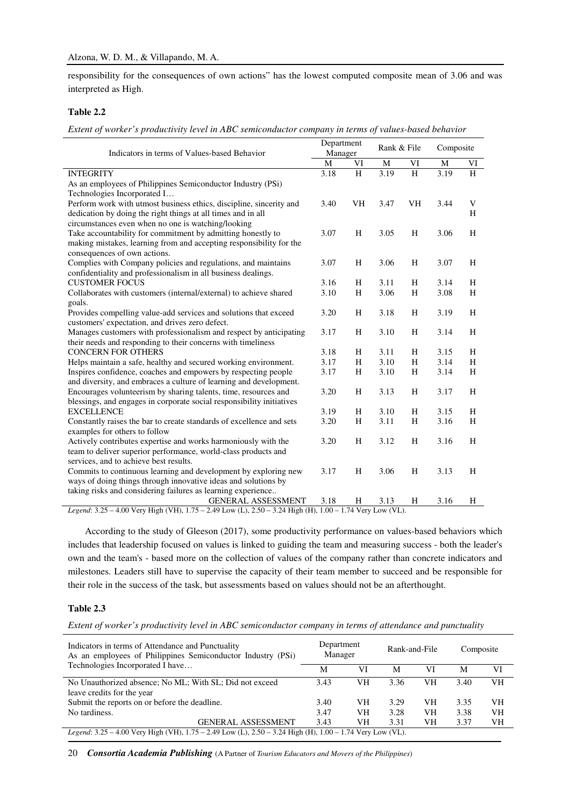responsibility for the consequences of own actions" has the lowest computed composite mean of 3.06 and was interpreted as High.

#### **Table 2.2**

*Extent of worker's productivity level in ABC semiconductor company in terms of values-based behavior* 

| Indicators in terms of Values-based Behavior                                                                  | Department<br>Manager |    | Rank & File |         | Composite |                |
|---------------------------------------------------------------------------------------------------------------|-----------------------|----|-------------|---------|-----------|----------------|
|                                                                                                               | $\mathbf M$           | VI | M           | VI      | M         | VI             |
| <b>INTEGRITY</b>                                                                                              | 3.18                  | H  | 3.19        | $\rm H$ | 3.19      | $\overline{H}$ |
| As an employees of Philippines Semiconductor Industry (PSi)                                                   |                       |    |             |         |           |                |
| Technologies Incorporated I                                                                                   |                       |    |             |         |           |                |
| Perform work with utmost business ethics, discipline, sincerity and                                           | 3.40                  | VH | 3.47        | VH      | 3.44      | V              |
| dedication by doing the right things at all times and in all                                                  |                       |    |             |         |           | H              |
| circumstances even when no one is watching/looking                                                            |                       |    |             |         |           |                |
| Take accountability for commitment by admitting honestly to                                                   | 3.07                  | H  | 3.05        | H       | 3.06      | H              |
| making mistakes, learning from and accepting responsibility for the                                           |                       |    |             |         |           |                |
| consequences of own actions.                                                                                  |                       |    |             |         |           |                |
| Complies with Company policies and regulations, and maintains                                                 | 3.07                  | H  | 3.06        | H       | 3.07      | H              |
| confidentiality and professionalism in all business dealings.                                                 |                       |    |             |         |           |                |
| <b>CUSTOMER FOCUS</b>                                                                                         | 3.16                  | H  | 3.11        | H       | 3.14      | H              |
| Collaborates with customers (internal/external) to achieve shared                                             | 3.10                  | H  | 3.06        | H       | 3.08      | H              |
| goals.                                                                                                        |                       |    |             |         |           |                |
| Provides compelling value-add services and solutions that exceed                                              | 3.20                  | H  | 3.18        | H       | 3.19      | H              |
| customers' expectation, and drives zero defect.                                                               |                       |    |             |         |           |                |
| Manages customers with professionalism and respect by anticipating                                            | 3.17                  | H  | 3.10        | H       | 3.14      | H              |
| their needs and responding to their concerns with timeliness                                                  |                       |    |             |         |           |                |
| <b>CONCERN FOR OTHERS</b>                                                                                     | 3.18                  | H  | 3.11        | H       | 3.15      | H              |
| Helps maintain a safe, healthy and secured working environment.                                               | 3.17                  | H  | 3.10        | H       | 3.14      | H              |
| Inspires confidence, coaches and empowers by respecting people                                                | 3.17                  | H  | 3.10        | H       | 3.14      | H              |
| and diversity, and embraces a culture of learning and development.                                            |                       |    |             |         |           |                |
| Encourages volunteerism by sharing talents, time, resources and                                               | 3.20                  | H  | 3.13        | H       | 3.17      | H              |
| blessings, and engages in corporate social responsibility initiatives                                         |                       |    |             |         |           |                |
| <b>EXCELLENCE</b>                                                                                             | 3.19                  | H  | 3.10        | H       | 3.15      | H              |
| Constantly raises the bar to create standards of excellence and sets                                          | 3.20                  | H  | 3.11        | H       | 3.16      | H              |
| examples for others to follow                                                                                 |                       |    |             |         |           |                |
| Actively contributes expertise and works harmoniously with the                                                | 3.20                  | H  | 3.12        | H       | 3.16      | H              |
| team to deliver superior performance, world-class products and                                                |                       |    |             |         |           |                |
| services, and to achieve best results.                                                                        |                       |    |             |         |           |                |
| Commits to continuous learning and development by exploring new                                               | 3.17                  | H  | 3.06        | H       | 3.13      | H              |
| ways of doing things through innovative ideas and solutions by                                                |                       |    |             |         |           |                |
| taking risks and considering failures as learning experience                                                  |                       |    |             |         |           |                |
| GENERAL ASSESSMENT                                                                                            | 3.18                  | H  | 3.13        | H       | 3.16      | H              |
| Legend: $3.25 - 4.00$ Very High (VH) $1.75 - 2.49$ Low (L) $2.50 - 3.24$ High (H) $1.00 - 1.74$ Very Low (VL) |                       |    |             |         |           |                |

Very High (VH),  $1.75 - 2.49$  Low (L),  $2.50 - 3.24$  High (H),  $1.00 - 1.74$  Very Low (VL).

According to the study of Gleeson (2017), some productivity performance on values-based behaviors which includes that leadership focused on values is linked to guiding the team and measuring success - both the leader's own and the team's - based more on the collection of values of the company rather than concrete indicators and milestones. Leaders still have to supervise the capacity of their team member to succeed and be responsible for their role in the success of the task, but assessments based on values should not be an afterthought.

#### **Table 2.3**

*Extent of worker's productivity level in ABC semiconductor company in terms of attendance and punctuality* 

| Indicators in terms of Attendance and Punctuality<br>As an employees of Philippines Semiconductor Industry (PSi)<br>Technologies Incorporated I have |      | Department<br>Manager |      | Rank-and-File |      | Composite |  |  |
|------------------------------------------------------------------------------------------------------------------------------------------------------|------|-----------------------|------|---------------|------|-----------|--|--|
|                                                                                                                                                      |      | VI                    | М    | VI            | M    | VI        |  |  |
| No Unauthorized absence; No ML; With SL; Did not exceed                                                                                              | 3.43 | VН                    | 3.36 | VH            | 3.40 | VH        |  |  |
| leave credits for the year                                                                                                                           |      |                       |      |               |      |           |  |  |
| Submit the reports on or before the deadline.                                                                                                        | 3.40 | VН                    | 3.29 | VН            | 3.35 | VН        |  |  |
| No tardiness.                                                                                                                                        | 3.47 | VН                    | 3.28 | VН            | 3.38 | VН        |  |  |
| <b>GENERAL ASSESSMENT</b>                                                                                                                            | 3.43 | VH                    | 3.31 | VH            | 3.37 | VН        |  |  |
| <i>Legend</i> : 3.25 – 4.00 Very High (VH), 1.75 – 2.49 Low (L), 2.50 – 3.24 High (H), 1.00 – 1.74 Very Low (VL).                                    |      |                       |      |               |      |           |  |  |

20 *Consortia Academia Publishing* (A Partner of *Tourism Educators and Movers of the Philippines*)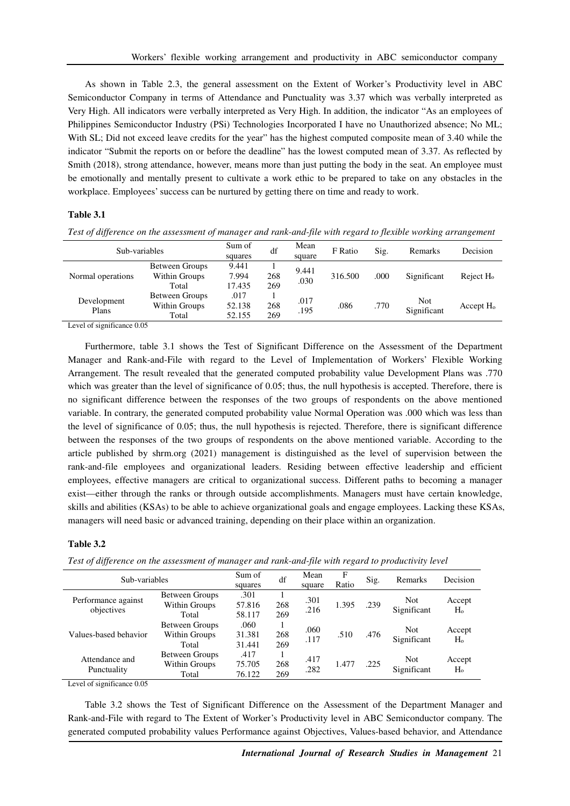As shown in Table 2.3, the general assessment on the Extent of Worker's Productivity level in ABC Semiconductor Company in terms of Attendance and Punctuality was 3.37 which was verbally interpreted as Very High. All indicators were verbally interpreted as Very High. In addition, the indicator "As an employees of Philippines Semiconductor Industry (PSi) Technologies Incorporated I have no Unauthorized absence; No ML; With SL; Did not exceed leave credits for the year" has the highest computed composite mean of 3.40 while the indicator "Submit the reports on or before the deadline" has the lowest computed mean of 3.37. As reflected by Smith (2018), strong attendance, however, means more than just putting the body in the seat. An employee must be emotionally and mentally present to cultivate a work ethic to be prepared to take on any obstacles in the workplace. Employees' success can be nurtured by getting there on time and ready to work.

# **Table 3.1**

| $\cdot$<br>JJ        |                                                 |                          |            |                | $\cdot$ |      |                    |                       |
|----------------------|-------------------------------------------------|--------------------------|------------|----------------|---------|------|--------------------|-----------------------|
| Sub-variables        |                                                 | Sum of<br>squares        | df         | Mean<br>square | F Ratio | Sig. | Remarks            | Decision              |
| Normal operations    | <b>Between Groups</b><br>Within Groups<br>Total | 9.441<br>7.994<br>17.435 | 268<br>269 | 9.441<br>.030  | 316.500 | .000 | Significant        | Reject H <sub>o</sub> |
| Development<br>Plans | Between Groups<br>Within Groups<br>Total        | .017<br>52.138<br>52.155 | 268<br>269 | .017<br>.195   | .086    | .770 | Not<br>Significant | Accept H <sub>o</sub> |

*Test of difference on the assessment of manager and rank-and-file with regard to flexible working arrangement* 

Level of significance 0.05

Furthermore, table 3.1 shows the Test of Significant Difference on the Assessment of the Department Manager and Rank-and-File with regard to the Level of Implementation of Workers' Flexible Working Arrangement. The result revealed that the generated computed probability value Development Plans was .770 which was greater than the level of significance of 0.05; thus, the null hypothesis is accepted. Therefore, there is no significant difference between the responses of the two groups of respondents on the above mentioned variable. In contrary, the generated computed probability value Normal Operation was .000 which was less than the level of significance of 0.05; thus, the null hypothesis is rejected. Therefore, there is significant difference between the responses of the two groups of respondents on the above mentioned variable. According to the article published by shrm.org (2021) management is distinguished as the level of supervision between the rank-and-file employees and organizational leaders. Residing between effective leadership and efficient employees, effective managers are critical to organizational success. Different paths to becoming a manager exist—either through the ranks or through outside accomplishments. Managers must have certain knowledge, skills and abilities (KSAs) to be able to achieve organizational goals and engage employees. Lacking these KSAs, managers will need basic or advanced training, depending on their place within an organization.

#### **Table 3.2**

*Test of difference on the assessment of manager and rank-and-file with regard to productivity level* 

| Sub-variables                     |                                                 | Sum of<br>squares        | df         | Mean<br>square | F<br>Ratio | Sig. | <b>Remarks</b>            | Decision                 |
|-----------------------------------|-------------------------------------------------|--------------------------|------------|----------------|------------|------|---------------------------|--------------------------|
| Performance against<br>objectives | Between Groups<br>Within Groups<br>Total        | .301<br>57.816<br>58.117 | 268<br>269 | .301<br>.216   | 1.395      | .239 | <b>Not</b><br>Significant | Accept<br>H <sub>o</sub> |
| Values-based behavior             | <b>Between Groups</b><br>Within Groups<br>Total | .060<br>31.381<br>31.441 | 268<br>269 | .060<br>.117   | .510       | .476 | <b>Not</b><br>Significant | Accept<br>H <sub>o</sub> |
| Attendance and<br>Punctuality     | <b>Between Groups</b><br>Within Groups<br>Total | .417<br>75.705<br>76.122 | 268<br>269 | .417<br>.282   | 1.477      | .225 | <b>Not</b><br>Significant | Accept<br>H <sub>o</sub> |

Level of significance 0.05

Table 3.2 shows the Test of Significant Difference on the Assessment of the Department Manager and Rank-and-File with regard to The Extent of Worker's Productivity level in ABC Semiconductor company. The generated computed probability values Performance against Objectives, Values-based behavior, and Attendance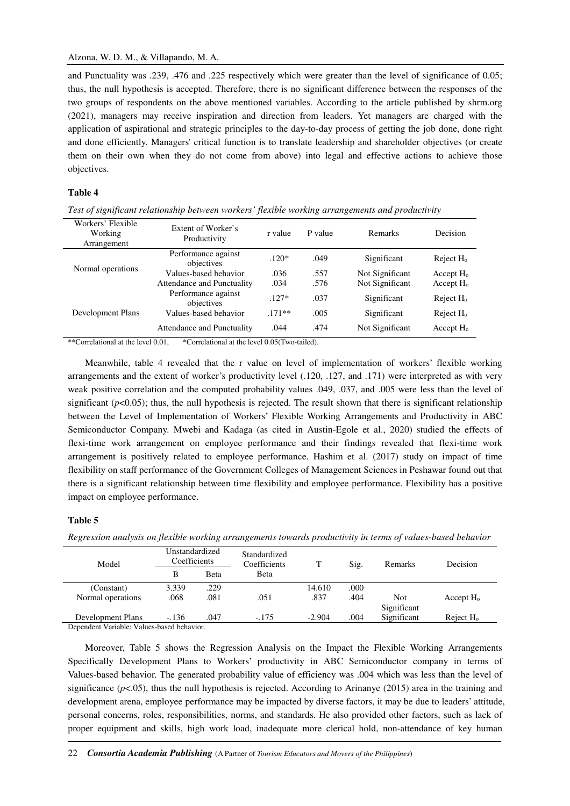and Punctuality was .239, .476 and .225 respectively which were greater than the level of significance of 0.05; thus, the null hypothesis is accepted. Therefore, there is no significant difference between the responses of the two groups of respondents on the above mentioned variables. According to the article published by shrm.org (2021), managers may receive inspiration and direction from leaders. Yet managers are charged with the application of aspirational and strategic principles to the day-to-day process of getting the job done, done right and done efficiently. Managers' critical function is to translate leadership and shareholder objectives (or create them on their own when they do not come from above) into legal and effective actions to achieve those objectives.

#### **Table 4**

*Test of significant relationship between workers' flexible working arrangements and productivity* 

| Workers' Flexible<br>Working<br>Arrangement | Extent of Worker's<br>Productivity | r value | P value | Remarks         | Decision              |
|---------------------------------------------|------------------------------------|---------|---------|-----------------|-----------------------|
|                                             | Performance against<br>objectives  | $.120*$ | .049    | Significant     | Reject H <sub>o</sub> |
| Normal operations                           | Values-based behavior              | .036    | .557    | Not Significant | Accept H <sub>o</sub> |
|                                             | <b>Attendance and Punctuality</b>  | .034    | .576    | Not Significant | Accept $H_0$          |
|                                             | Performance against<br>objectives  | $.127*$ | .037    | Significant     | Reject $H_0$          |
| Development Plans                           | Values-based behavior              | $171**$ | .005    | Significant     | Reject H <sub>o</sub> |
|                                             | <b>Attendance and Punctuality</b>  | .044    | .474    | Not Significant | Accept H <sub>o</sub> |

\*\*Correlational at the level 0.01, \*Correlational at the level 0.05(Two-tailed).

Meanwhile, table 4 revealed that the r value on level of implementation of workers' flexible working arrangements and the extent of worker's productivity level (.120, .127, and .171) were interpreted as with very weak positive correlation and the computed probability values .049, .037, and .005 were less than the level of significant  $(p<0.05)$ ; thus, the null hypothesis is rejected. The result shown that there is significant relationship between the Level of Implementation of Workers' Flexible Working Arrangements and Productivity in ABC Semiconductor Company. Mwebi and Kadaga (as cited in Austin-Egole et al., 2020) studied the effects of flexi-time work arrangement on employee performance and their findings revealed that flexi-time work arrangement is positively related to employee performance. Hashim et al. (2017) study on impact of time flexibility on staff performance of the Government Colleges of Management Sciences in Peshawar found out that there is a significant relationship between time flexibility and employee performance. Flexibility has a positive impact on employee performance.

## **Table 5**

*Regression analysis on flexible working arrangements towards productivity in terms of values-based behavior* 

| Model             | Unstandardized<br>Coefficients |      | Standardized<br>Coefficients | T        | Sig. | Remarks             | Decision              |
|-------------------|--------------------------------|------|------------------------------|----------|------|---------------------|-----------------------|
|                   | в                              | Beta | Beta                         |          |      |                     |                       |
| (Constant)        | 3.339                          | .229 |                              | 14.610   | .000 |                     |                       |
| Normal operations | .068                           | .081 | .051                         | .837     | .404 | Not.<br>Significant | Accept $H_0$          |
| Development Plans | $-.136$                        | .047 | $-.175$                      | $-2.904$ | .004 | Significant         | Reject H <sub>o</sub> |

Dependent Variable: Values-based behavior.

Moreover, Table 5 shows the Regression Analysis on the Impact the Flexible Working Arrangements Specifically Development Plans to Workers' productivity in ABC Semiconductor company in terms of Values-based behavior. The generated probability value of efficiency was .004 which was less than the level of significance  $(p<.05)$ , thus the null hypothesis is rejected. According to Arinanye (2015) area in the training and development arena, employee performance may be impacted by diverse factors, it may be due to leaders' attitude, personal concerns, roles, responsibilities, norms, and standards. He also provided other factors, such as lack of proper equipment and skills, high work load, inadequate more clerical hold, non-attendance of key human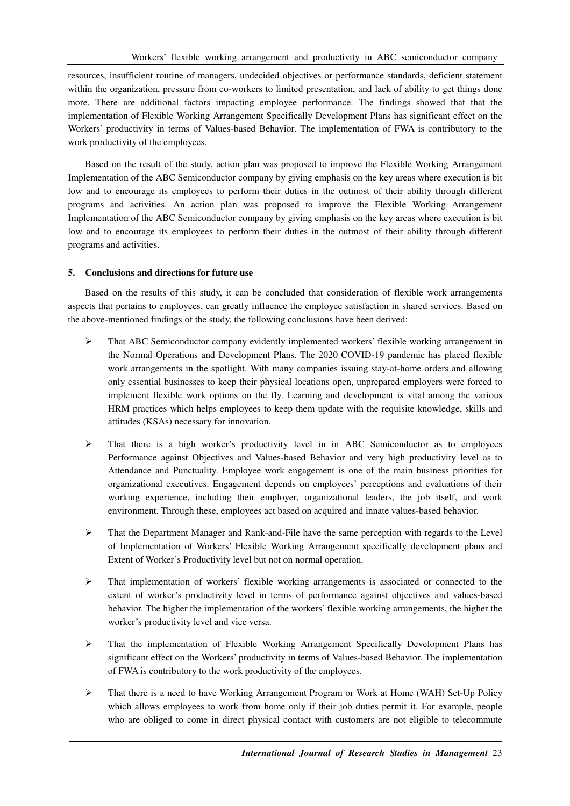resources, insufficient routine of managers, undecided objectives or performance standards, deficient statement within the organization, pressure from co-workers to limited presentation, and lack of ability to get things done more. There are additional factors impacting employee performance. The findings showed that that the implementation of Flexible Working Arrangement Specifically Development Plans has significant effect on the Workers' productivity in terms of Values-based Behavior. The implementation of FWA is contributory to the work productivity of the employees.

Based on the result of the study, action plan was proposed to improve the Flexible Working Arrangement Implementation of the ABC Semiconductor company by giving emphasis on the key areas where execution is bit low and to encourage its employees to perform their duties in the outmost of their ability through different programs and activities. An action plan was proposed to improve the Flexible Working Arrangement Implementation of the ABC Semiconductor company by giving emphasis on the key areas where execution is bit low and to encourage its employees to perform their duties in the outmost of their ability through different programs and activities.

## **5. Conclusions and directions for future use**

Based on the results of this study, it can be concluded that consideration of flexible work arrangements aspects that pertains to employees, can greatly influence the employee satisfaction in shared services. Based on the above-mentioned findings of the study, the following conclusions have been derived:

- $\triangleright$  That ABC Semiconductor company evidently implemented workers' flexible working arrangement in the Normal Operations and Development Plans. The 2020 COVID-19 pandemic has placed flexible work arrangements in the spotlight. With many companies issuing stay-at-home orders and allowing only essential businesses to keep their physical locations open, unprepared employers were forced to implement flexible work options on the fly. Learning and development is vital among the various HRM practices which helps employees to keep them update with the requisite knowledge, skills and attitudes (KSAs) necessary for innovation.
- $\triangleright$  That there is a high worker's productivity level in in ABC Semiconductor as to employees Performance against Objectives and Values-based Behavior and very high productivity level as to Attendance and Punctuality. Employee work engagement is one of the main business priorities for organizational executives. Engagement depends on employees' perceptions and evaluations of their working experience, including their employer, organizational leaders, the job itself, and work environment. Through these, employees act based on acquired and innate values-based behavior.
- $\triangleright$  That the Department Manager and Rank-and-File have the same perception with regards to the Level of Implementation of Workers' Flexible Working Arrangement specifically development plans and Extent of Worker's Productivity level but not on normal operation.
- $\triangleright$  That implementation of workers' flexible working arrangements is associated or connected to the extent of worker's productivity level in terms of performance against objectives and values-based behavior. The higher the implementation of the workers' flexible working arrangements, the higher the worker's productivity level and vice versa.
- That the implementation of Flexible Working Arrangement Specifically Development Plans has significant effect on the Workers' productivity in terms of Values-based Behavior. The implementation of FWA is contributory to the work productivity of the employees.
- $\triangleright$  That there is a need to have Working Arrangement Program or Work at Home (WAH) Set-Up Policy which allows employees to work from home only if their job duties permit it. For example, people who are obliged to come in direct physical contact with customers are not eligible to telecommute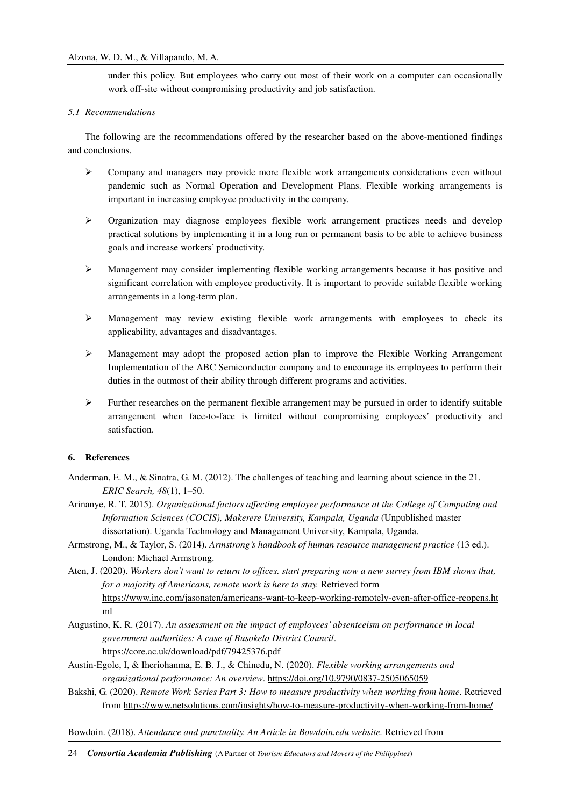under this policy. But employees who carry out most of their work on a computer can occasionally work off-site without compromising productivity and job satisfaction.

# *5.1 Recommendations*

The following are the recommendations offered by the researcher based on the above-mentioned findings and conclusions.

- $\triangleright$  Company and managers may provide more flexible work arrangements considerations even without pandemic such as Normal Operation and Development Plans. Flexible working arrangements is important in increasing employee productivity in the company.
- Organization may diagnose employees flexible work arrangement practices needs and develop practical solutions by implementing it in a long run or permanent basis to be able to achieve business goals and increase workers' productivity.
- $\triangleright$  Management may consider implementing flexible working arrangements because it has positive and significant correlation with employee productivity. It is important to provide suitable flexible working arrangements in a long-term plan.
- $\triangleright$  Management may review existing flexible work arrangements with employees to check its applicability, advantages and disadvantages.
- Management may adopt the proposed action plan to improve the Flexible Working Arrangement Implementation of the ABC Semiconductor company and to encourage its employees to perform their duties in the outmost of their ability through different programs and activities.
- Further researches on the permanent flexible arrangement may be pursued in order to identify suitable arrangement when face-to-face is limited without compromising employees' productivity and satisfaction.

# **6. References**

- Anderman, E. M., & Sinatra, G. M. (2012). The challenges of teaching and learning about science in the 21. *ERIC Search, 48*(1), 1–50.
- Arinanye, R. T. 2015). *Organizational factors affecting employee performance at the College of Computing and Information Sciences (COCIS), Makerere University, Kampala, Uganda* (Unpublished master dissertation). Uganda Technology and Management University, Kampala, Uganda.
- Armstrong, M., & Taylor, S. (2014). *Armstrong's handbook of human resource management practice* (13 ed.). London: Michael Armstrong.
- Aten, J. (2020). *Workers don't want to return to offices. start preparing now a new survey from IBM shows that, for a majority of Americans, remote work is here to stay.* Retrieved form https://www.inc.com/jasonaten/americans-want-to-keep-working-remotely-even-after-office-reopens.ht ml
- Augustino, K. R. (2017). *An assessment on the impact of employees' absenteeism on performance in local government authorities: A case of Busokelo District Council*. https://core.ac.uk/download/pdf/79425376.pdf
- Austin-Egole, I, & Iheriohanma, E. B. J., & Chinedu, N. (2020). *Flexible working arrangements and organizational performance: An overview*. https://doi.org/10.9790/0837-2505065059
- Bakshi, G. (2020). *Remote Work Series Part 3: How to measure productivity when working from home*. Retrieved from https://www.netsolutions.com/insights/how-to-measure-productivity-when-working-from-home/

Bowdoin. (2018). *Attendance and punctuality. An Article in Bowdoin.edu website.* Retrieved from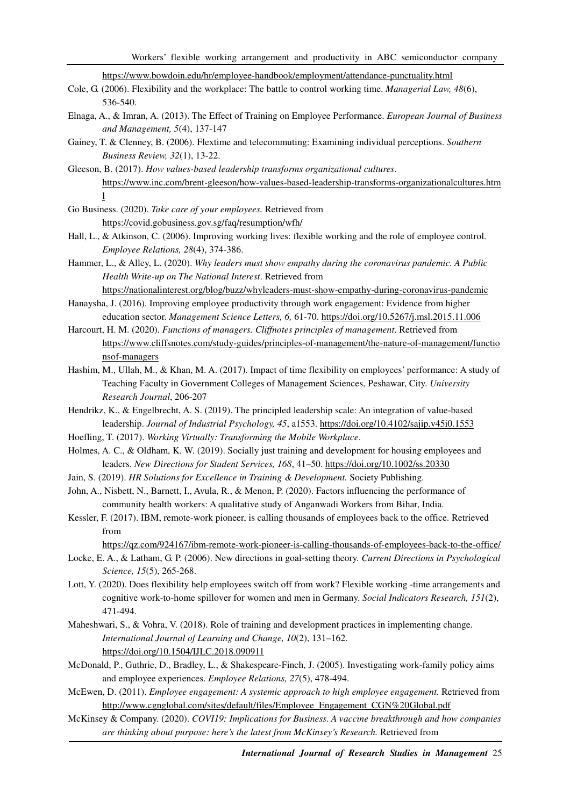https://www.bowdoin.edu/hr/employee-handbook/employment/attendance-punctuality.html

- Cole, G. (2006). Flexibility and the workplace: The battle to control working time. *Managerial Law, 48*(6), 536-540.
- Elnaga, A., & Imran, A. (2013). The Effect of Training on Employee Performance. *European Journal of Business and Management, 5*(4), 137-147
- Gainey, T. & Clenney, B. (2006). Flextime and telecommuting: Examining individual perceptions. *Southern Business Review, 32*(1), 13-22.
- Gleeson, B. (2017). *How values-based leadership transforms organizational cultures*. https://www.inc.com/brent-gleeson/how-values-based-leadership-transforms-organizationalcultures.htm l
- Go Business. (2020). *Take care of your employees.* Retrieved from https://covid.gobusiness.gov.sg/faq/resumption/wfh/
- Hall, L., & Atkinson, C. (2006). Improving working lives: flexible working and the role of employee control. *Employee Relations, 28*(4), 374-386.
- Hammer, L., & Alley, L. (2020). *Why leaders must show empathy during the coronavirus pandemic. A Public Health Write-up on The National Interest*. Retrieved from

https://nationalinterest.org/blog/buzz/whyleaders-must-show-empathy-during-coronavirus-pandemic

- Hanaysha, J. (2016). Improving employee productivity through work engagement: Evidence from higher education sector. *Management Science Letters, 6,* 61-70. https://doi.org/10.5267/j.msl.2015.11.006
- Harcourt, H. M. (2020). *Functions of managers. Cliffnotes principles of management*. Retrieved from https://www.cliffsnotes.com/study-guides/principles-of-management/the-nature-of-management/functio nsof-managers
- Hashim, M., Ullah, M., & Khan, M. A. (2017). Impact of time flexibility on employees' performance: A study of Teaching Faculty in Government Colleges of Management Sciences, Peshawar, City. *University Research Journal*, 206-207
- Hendrikz, K., & Engelbrecht, A. S. (2019). The principled leadership scale: An integration of value-based leadership. Journal of Industrial Psychology, 45, a1553. https://doi.org/10.4102/sajip.v45i0.1553
- Hoefling, T. (2017). *Working Virtually: Transforming the Mobile Workplace*.
- Holmes, A. C., & Oldham, K. W. (2019). Socially just training and development for housing employees and leaders. *New Directions for Student Services, 168*, 41–50. https://doi.org/10.1002/ss.20330
- Jain, S. (2019). *HR Solutions for Excellence in Training & Development.* Society Publishing.
- John, A., Nisbett, N., Barnett, I., Avula, R., & Menon, P. (2020). Factors influencing the performance of community health workers: A qualitative study of Anganwadi Workers from Bihar, India.
- Kessler, F. (2017). IBM, remote-work pioneer, is calling thousands of employees back to the office. Retrieved from

https://qz.com/924167/ibm-remote-work-pioneer-is-calling-thousands-of-employees-back-to-the-office/

- Locke, E. A., & Latham, G. P. (2006). New directions in goal-setting theory. *Current Directions in Psychological Science, 15*(5), 265-268.
- Lott, Y. (2020). Does flexibility help employees switch off from work? Flexible working -time arrangements and cognitive work-to-home spillover for women and men in Germany. *Social Indicators Research, 151*(2), 471-494.
- Maheshwari, S., & Vohra, V. (2018). Role of training and development practices in implementing change. *International Journal of Learning and Change, 10*(2), 131–162. https://doi.org/10.1504/IJLC.2018.090911
- McDonald, P., Guthrie, D., Bradley, L., & Shakespeare-Finch, J. (2005). Investigating work-family policy aims and employee experiences. *Employee Relations, 27*(5), 478-494.
- McEwen, D. (2011). *Employee engagement: A systemic approach to high employee engagement.* Retrieved from http://www.cgnglobal.com/sites/default/files/Employee\_Engagement\_CGN%20Global.pdf
- McKinsey & Company. (2020). *COVI19: Implications for Business. A vaccine breakthrough and how companies are thinking about purpose: here's the latest from McKinsey's Research.* Retrieved from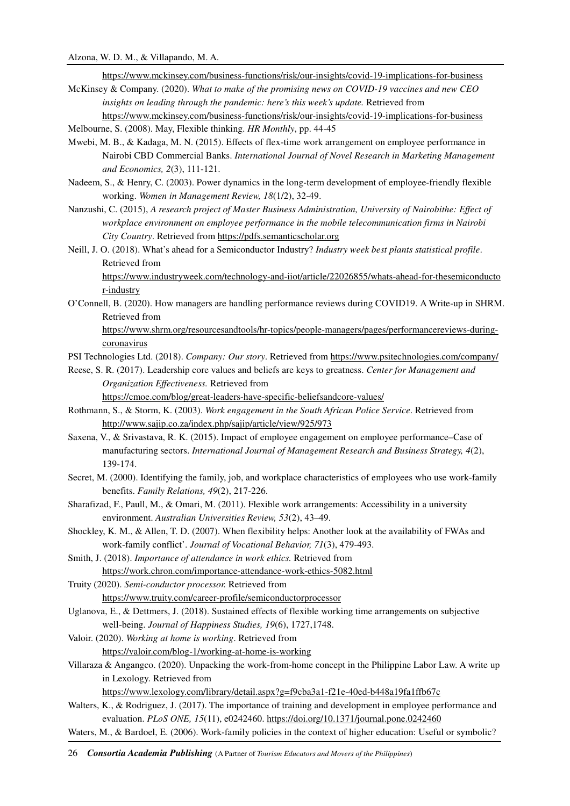https://www.mckinsey.com/business-functions/risk/our-insights/covid-19-implications-for-business

McKinsey & Company. (2020). *What to make of the promising news on COVID-19 vaccines and new CEO insights on leading through the pandemic: here's this week's update.* Retrieved from https://www.mckinsey.com/business-functions/risk/our-insights/covid-19-implications-for-business

Melbourne, S. (2008). May, Flexible thinking. *HR Monthly*, pp. 44-45

- Mwebi, M. B., & Kadaga, M. N. (2015). Effects of flex-time work arrangement on employee performance in Nairobi CBD Commercial Banks. *International Journal of Novel Research in Marketing Management and Economics, 2*(3), 111-121.
- Nadeem, S., & Henry, C. (2003). Power dynamics in the long-term development of employee-friendly flexible working. *Women in Management Review, 18*(1/2), 32-49.
- Nanzushi, C. (2015), *A research project of Master Business Administration, University of Nairobithe: Effect of workplace environment on employee performance in the mobile telecommunication firms in Nairobi City Country*. Retrieved from https://pdfs.semanticscholar.org
- Neill, J. O. (2018). What's ahead for a Semiconductor Industry? *Industry week best plants statistical profile*. Retrieved from

https://www.industryweek.com/technology-and-iiot/article/22026855/whats-ahead-for-thesemiconducto r-industry

O'Connell, B. (2020). How managers are handling performance reviews during COVID19. A Write-up in SHRM. Retrieved from

https://www.shrm.org/resourcesandtools/hr-topics/people-managers/pages/performancereviews-duringcoronavirus

- PSI Technologies Ltd. (2018). *Company: Our story*. Retrieved from https://www.psitechnologies.com/company/
- Reese, S. R. (2017). Leadership core values and beliefs are keys to greatness. *Center for Management and Organization Effectiveness.* Retrieved from

https://cmoe.com/blog/great-leaders-have-specific-beliefsandcore-values/

- Rothmann, S., & Storm, K. (2003). *Work engagement in the South African Police Service*. Retrieved from http://www.sajip.co.za/index.php/sajip/article/view/925/973
- Saxena, V., & Srivastava, R. K. (2015). Impact of employee engagement on employee performance–Case of manufacturing sectors. *International Journal of Management Research and Business Strategy, 4*(2), 139-174.
- Secret, M. (2000). Identifying the family, job, and workplace characteristics of employees who use work-family benefits. *Family Relations, 49*(2), 217-226.
- Sharafizad, F., Paull, M., & Omari, M. (2011). Flexible work arrangements: Accessibility in a university environment. *Australian Universities Review, 53*(2), 43–49.
- Shockley, K. M., & Allen, T. D. (2007). When flexibility helps: Another look at the availability of FWAs and work-family conflict'. *Journal of Vocational Behavior, 71*(3), 479-493.

Smith, J. (2018). *Importance of attendance in work ethics.* Retrieved from https://work.chron.com/importance-attendance-work-ethics-5082.html

Truity (2020). *Semi-conductor processor.* Retrieved from https://www.truity.com/career-profile/semiconductorprocessor

- Uglanova, E., & Dettmers, J. (2018). Sustained effects of flexible working time arrangements on subjective well-being. *Journal of Happiness Studies, 19*(6), 1727,1748.
- Valoir. (2020). *Working at home is working*. Retrieved from https://valoir.com/blog-1/working-at-home-is-working
- Villaraza & Angangco. (2020). Unpacking the work-from-home concept in the Philippine Labor Law. A write up in Lexology. Retrieved from

https://www.lexology.com/library/detail.aspx?g=f9cba3a1-f21e-40ed-b448a19fa1ffb67c

- Walters, K., & Rodriguez, J. (2017). The importance of training and development in employee performance and evaluation. *PLoS ONE, 15*(11), e0242460. https://doi.org/10.1371/journal.pone.0242460
- Waters, M., & Bardoel, E. (2006). Work-family policies in the context of higher education: Useful or symbolic?